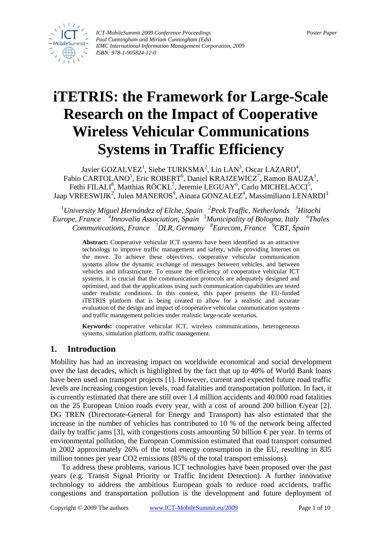

*ICT-MobileSummit 2009 Conference Proceedings* Poster *Paper Paper Paper <i>Poster Paper Poster Paper Paul Cunningham and Miriam Cunningham (Eds) IIMC International Information Management Corporation, 2009 ISBN: 978-1-905824-12-0*

# **iTETRIS: the Framework for Large-Scale Research on the Impact of Cooperative Wireless Vehicular Communications Systems in Traffic Efficiency**

Javier GOZALVEZ<sup>1</sup>, Siebe TURKSMA<sup>2</sup>, Lin LAN<sup>3</sup>, Oscar LAZARO<sup>4</sup>, Fabio CARTOLANO<sup>5</sup>, Eric ROBERT<sup>6</sup>, Daniel KRAJZEWICZ<sup>7</sup>, Ramon BAUZA<sup>1</sup>, Fethi FILALI<sup>8</sup>, Matthias RÖCKL<sup>7</sup>, Jeremie LEGUAY<sup>6</sup>, Carlo MICHELACCI<sup>5</sup>, Jaap VREESWIJK<sup>2</sup>, Julen MANEROS<sup>9</sup>, Ainara GONZALEZ<sup>4</sup>, Massimiliano LENARDI<sup>3</sup>

*1 University Miguel Hernández of Elche, Spain <sup>2</sup> Peek Traffic, Netherlands 3 Hitachi Europe, France <sup>4</sup> Innovalia Association, Spain 5 Municipality of Bologna, Italy <sup>6</sup> Thales Communications, France <sup>7</sup> DLR, Germany <sup>8</sup> Eurecom, France <sup>9</sup> CBT, Spain* 

> **Abstract:** Cooperative vehicular ICT systems have been identified as an attractive technology to improve traffic management and safety, while providing Internet on the move. To achieve these objectives, cooperative vehicular communication systems allow the dynamic exchange of messages between vehicles, and between vehicles and infrastructure. To ensure the efficiency of cooperative vehicular ICT systems, it is crucial that the communication protocols are adequately designed and optimised, and that the applications using such communication capabilities are tested under realistic conditions. In this context, this paper presents the EU-funded iTETRIS platform that is being created to allow for a realistic and accurate evaluation of the design and impact of cooperative vehicular communication systems and traffic management policies under realistic large-scale scenarios.

> **Keywords:** cooperative vehicular ICT, wireless communications, heterogeneous systems, simulation platform, traffic management.

# **1. Introduction**

Mobility has had an increasing impact on worldwide economical and social development over the last decades, which is highlighted by the fact that up to 40% of World Bank loans have been used on transport projects [1]. However, current and expected future road traffic levels are increasing congestion levels, road fatalities and transportation pollution. In fact, it is currently estimated that there are still over 1.4 million accidents and 40.000 road fatalities on the 25 European Union roads every year, with a cost of around 200 billion  $\Theta$ year [2]. DG TREN (Directorate-General for Energy and Transport) has also estimated that the increase in the number of vehicles has contributed to 10 % of the network being affected daily by traffic jams [3], with congestions costs amounting 50 billion  $\epsilon$  per year. In terms of environmental pollution, the European Commission estimated that road transport consumed in 2002 approximately 26% of the total energy consumption in the EU, resulting in 835 million tonnes per year CO2 emissions (85% of the total transport emissions).

To address these problems, various ICT technologies have been proposed over the past years (e.g. Transit Signal Priority or Traffic Incident Detection). A further innovative technology to address the ambitious European goals to reduce road accidents, traffic congestions and transportation pollution is the development and future deployment of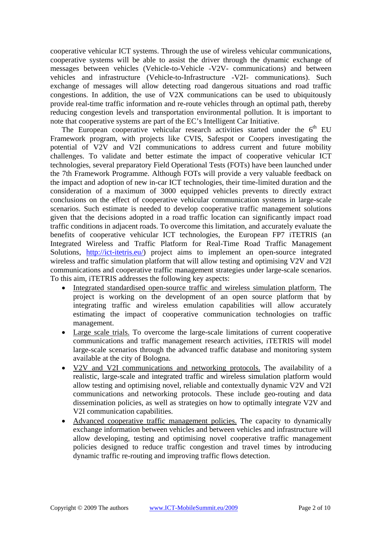cooperative vehicular ICT systems. Through the use of wireless vehicular communications, cooperative systems will be able to assist the driver through the dynamic exchange of messages between vehicles (Vehicle-to-Vehicle -V2V- communications) and between vehicles and infrastructure (Vehicle-to-Infrastructure -V2I- communications). Such exchange of messages will allow detecting road dangerous situations and road traffic congestions. In addition, the use of V2X communications can be used to ubiquitously provide real-time traffic information and re-route vehicles through an optimal path, thereby reducing congestion levels and transportation environmental pollution. It is important to note that cooperative systems are part of the EC's Intelligent Car Initiative.

The European cooperative vehicular research activities started under the  $6<sup>th</sup>$  EU Framework program, with projects like CVIS, Safespot or Coopers investigating the potential of V2V and V2I communications to address current and future mobility challenges. To validate and better estimate the impact of cooperative vehicular ICT technologies, several preparatory Field Operational Tests (FOTs) have been launched under the 7th Framework Programme. Although FOTs will provide a very valuable feedback on the impact and adoption of new in-car ICT technologies, their time-limited duration and the consideration of a maximum of 3000 equipped vehicles prevents to directly extract conclusions on the effect of cooperative vehicular communication systems in large-scale scenarios. Such estimate is needed to develop cooperative traffic management solutions given that the decisions adopted in a road traffic location can significantly impact road traffic conditions in adjacent roads. To overcome this limitation, and accurately evaluate the benefits of cooperative vehicular ICT technologies, the European FP7 iTETRIS (an Integrated Wireless and Traffic Platform for Real-Time Road Traffic Management Solutions, <http://ict-itetris.eu/>) project aims to implement an open-source integrated wireless and traffic simulation platform that will allow testing and optimising V2V and V2I communications and cooperative traffic management strategies under large-scale scenarios. To this aim, iTETRIS addresses the following key aspects:

- Integrated standardised open-source traffic and wireless simulation platform. The project is working on the development of an open source platform that by integrating traffic and wireless emulation capabilities will allow accurately estimating the impact of cooperative communication technologies on traffic management.
- Large scale trials. To overcome the large-scale limitations of current cooperative communications and traffic management research activities, iTETRIS will model large-scale scenarios through the advanced traffic database and monitoring system available at the city of Bologna.
- V2V and V2I communications and networking protocols. The availability of a realistic, large-scale and integrated traffic and wireless simulation platform would allow testing and optimising novel, reliable and contextually dynamic V2V and V2I communications and networking protocols. These include geo-routing and data dissemination policies, as well as strategies on how to optimally integrate V2V and V2I communication capabilities.
- Advanced cooperative traffic management policies. The capacity to dynamically exchange information between vehicles and between vehicles and infrastructure will allow developing, testing and optimising novel cooperative traffic management policies designed to reduce traffic congestion and travel times by introducing dynamic traffic re-routing and improving traffic flows detection.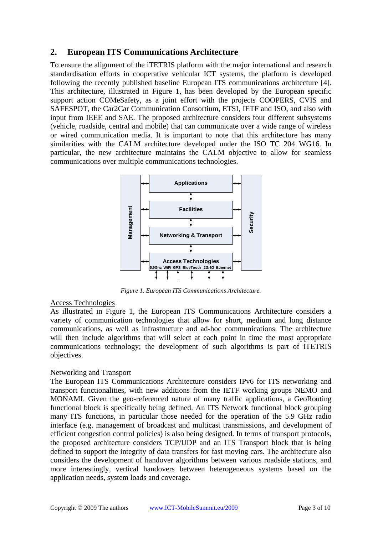## **2. European ITS Communications Architecture**

To ensure the alignment of the iTETRIS platform with the major international and research standardisation efforts in cooperative vehicular ICT systems, the platform is developed following the recently published baseline European ITS communications architecture [4]. This architecture, illustrated in [Figure 1,](#page-2-0) has been developed by the European specific support action COMeSafety, as a joint effort with the projects COOPERS, CVIS and SAFESPOT, the Car2Car Communication Consortium, ETSI, IETF and ISO, and also with input from IEEE and SAE. The proposed architecture considers four different subsystems (vehicle, roadside, central and mobile) that can communicate over a wide range of wireless or wired communication media. It is important to note that this architecture has many similarities with the CALM architecture developed under the ISO TC 204 WG16. In particular, the new architecture maintains the CALM objective to allow for seamless communications over multiple communications technologies.

<span id="page-2-0"></span>

*Figure 1. European ITS Communications Architecture.* 

#### Access Technologies

As illustrated in [Figure 1,](#page-2-0) the European ITS Communications Architecture considers a variety of communication technologies that allow for short, medium and long distance communications, as well as infrastructure and ad-hoc communications. The architecture will then include algorithms that will select at each point in time the most appropriate communications technology; the development of such algorithms is part of iTETRIS objectives.

#### Networking and Transport

The European ITS Communications Architecture considers IPv6 for ITS networking and transport functionalities, with new additions from the IETF working groups NEMO and MONAMI. Given the geo-referenced nature of many traffic applications, a GeoRouting functional block is specifically being defined. An ITS Network functional block grouping many ITS functions, in particular those needed for the operation of the 5.9 GHz radio interface (e.g. management of broadcast and multicast transmissions, and development of efficient congestion control policies) is also being designed. In terms of transport protocols, the proposed architecture considers TCP/UDP and an ITS Transport block that is being defined to support the integrity of data transfers for fast moving cars. The architecture also considers the development of handover algorithms between various roadside stations, and more interestingly, vertical handovers between heterogeneous systems based on the application needs, system loads and coverage.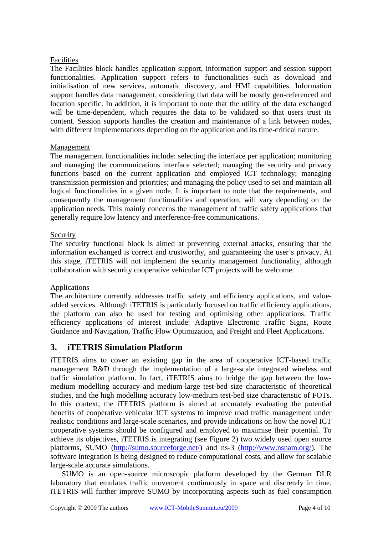#### Facilities

The Facilities block handles application support, information support and session support functionalities. Application support refers to functionalities such as download and initialisation of new services, automatic discovery, and HMI capabilities. Information support handles data management, considering that data will be mostly geo-referenced and location specific. In addition, it is important to note that the utility of the data exchanged will be time-dependent, which requires the data to be validated so that users trust its content. Session supports handles the creation and maintenance of a link between nodes, with different implementations depending on the application and its time-critical nature.

#### Management

The management functionalities include: selecting the interface per application; monitoring and managing the communications interface selected; managing the security and privacy functions based on the current application and employed ICT technology; managing transmission permission and priorities; and managing the policy used to set and maintain all logical functionalities in a given node. It is important to note that the requirements, and consequently the management functionalities and operation, will vary depending on the application needs. This mainly concerns the management of traffic safety applications that generally require low latency and interference-free communications.

#### Security

The security functional block is aimed at preventing external attacks, ensuring that the information exchanged is correct and trustworthy, and guaranteeing the user's privacy. At this stage, iTETRIS will not implement the security management functionality, although collaboration with security cooperative vehicular ICT projects will be welcome.

## Applications

The architecture currently addresses traffic safety and efficiency applications, and valueadded services. Although iTETRIS is particularly focused on traffic efficiency applications, the platform can also be used for testing and optimising other applications. Traffic efficiency applications of interest include: Adaptive Electronic Traffic Signs, Route Guidance and Navigation, Traffic Flow Optimization, and Freight and Fleet Applications.

## **3. iTETRIS Simulation Platform**

iTETRIS aims to cover an existing gap in the area of cooperative ICT-based traffic management R&D through the implementation of a large-scale integrated wireless and traffic simulation platform. In fact, iTETRIS aims to bridge the gap between the lowmedium modelling accuracy and medium-large test-bed size characteristic of theoretical studies, and the high modelling accuracy low-medium test-bed size characteristic of FOTs. In this context, the iTETRIS platform is aimed at accurately evaluating the potential benefits of cooperative vehicular ICT systems to improve road traffic management under realistic conditions and large-scale scenarios, and provide indications on how the novel ICT cooperative systems should be configured and employed to maximise their potential. To achieve its objectives, iTETRIS is integrating (see [Figure 2\)](#page-4-0) two widely used open source platforms, SUMO [\(http://sumo.sourceforge.net/](http://sumo.sourceforge.net/)) and ns-3 (<http://www.nsnam.org/>). The software integration is being designed to reduce computational costs, and allow for scalable large-scale accurate simulations.

SUMO is an open-source microscopic platform developed by the German DLR laboratory that emulates traffic movement continuously in space and discretely in time. iTETRIS will further improve SUMO by incorporating aspects such as fuel consumption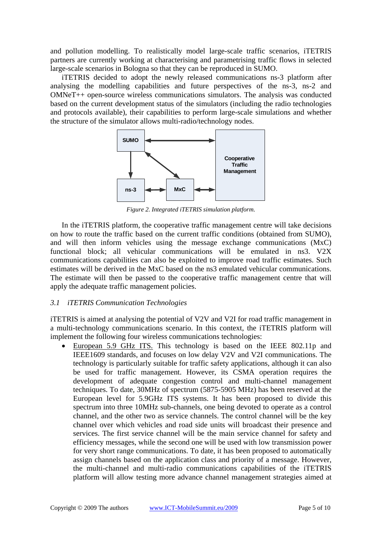and pollution modelling. To realistically model large-scale traffic scenarios, iTETRIS partners are currently working at characterising and parametrising traffic flows in selected large-scale scenarios in Bologna so that they can be reproduced in SUMO.

iTETRIS decided to adopt the newly released communications ns-3 platform after analysing the modelling capabilities and future perspectives of the ns-3, ns-2 and OMNeT++ open-source wireless communications simulators. The analysis was conducted based on the current development status of the simulators (including the radio technologies and protocols available), their capabilities to perform large-scale simulations and whether the structure of the simulator allows multi-radio/technology nodes.

<span id="page-4-0"></span>

*Figure 2. Integrated iTETRIS simulation platform.* 

In the iTETRIS platform, the cooperative traffic management centre will take decisions on how to route the traffic based on the current traffic conditions (obtained from SUMO), and will then inform vehicles using the message exchange communications (MxC) functional block; all vehicular communications will be emulated in ns3. V2X communications capabilities can also be exploited to improve road traffic estimates. Such estimates will be derived in the MxC based on the ns3 emulated vehicular communications. The estimate will then be passed to the cooperative traffic management centre that will apply the adequate traffic management policies.

#### *3.1 iTETRIS Communication Technologies*

iTETRIS is aimed at analysing the potential of V2V and V2I for road traffic management in a multi-technology communications scenario. In this context, the iTETRIS platform will implement the following four wireless communications technologies:

• European 5.9 GHz ITS. This technology is based on the IEEE 802.11p and IEEE1609 standards, and focuses on low delay V2V and V2I communications. The technology is particularly suitable for traffic safety applications, although it can also be used for traffic management. However, its CSMA operation requires the development of adequate congestion control and multi-channel management techniques. To date, 30MHz of spectrum (5875-5905 MHz) has been reserved at the European level for 5.9GHz ITS systems. It has been proposed to divide this spectrum into three 10MHz sub-channels, one being devoted to operate as a control channel, and the other two as service channels. The control channel will be the key channel over which vehicles and road side units will broadcast their presence and services. The first service channel will be the main service channel for safety and efficiency messages, while the second one will be used with low transmission power for very short range communications. To date, it has been proposed to automatically assign channels based on the application class and priority of a message. However, the multi-channel and multi-radio communications capabilities of the iTETRIS platform will allow testing more advance channel management strategies aimed at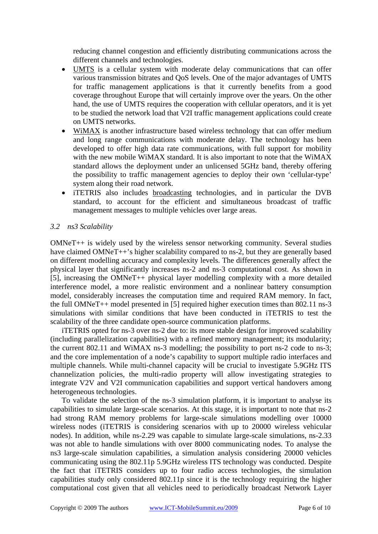reducing channel congestion and efficiently distributing communications across the different channels and technologies.

- UMTS is a cellular system with moderate delay communications that can offer various transmission bitrates and QoS levels. One of the major advantages of UMTS for traffic management applications is that it currently benefits from a good coverage throughout Europe that will certainly improve over the years. On the other hand, the use of UMTS requires the cooperation with cellular operators, and it is yet to be studied the network load that V2I traffic management applications could create on UMTS networks.
- WiMAX is another infrastructure based wireless technology that can offer medium and long range communications with moderate delay. The technology has been developed to offer high data rate communications, with full support for mobility with the new mobile WiMAX standard. It is also important to note that the WiMAX standard allows the deployment under an unlicensed 5GHz band, thereby offering the possibility to traffic management agencies to deploy their own 'cellular-type' system along their road network.
- iTETRIS also includes broadcasting technologies, and in particular the DVB standard, to account for the efficient and simultaneous broadcast of traffic management messages to multiple vehicles over large areas.

#### *3.2 ns3 Scalability*

OMNeT++ is widely used by the wireless sensor networking community. Several studies have claimed OMNeT++'s higher scalability compared to ns-2, but they are generally based on different modelling accuracy and complexity levels. The differences generally affect the physical layer that significantly increases ns-2 and ns-3 computational cost. As shown in [5], increasing the OMNeT++ physical layer modelling complexity with a more detailed interference model, a more realistic environment and a nonlinear battery consumption model, considerably increases the computation time and required RAM memory. In fact, the full OMNeT++ model presented in [5] required higher execution times than 802.11 ns-3 simulations with similar conditions that have been conducted in iTETRIS to test the scalability of the three candidate open-source communication platforms.

iTETRIS opted for ns-3 over ns-2 due to: its more stable design for improved scalability (including parallelization capabilities) with a refined memory management; its modularity; the current 802.11 and WiMAX ns-3 modelling; the possibility to port ns-2 code to ns-3; and the core implementation of a node's capability to support multiple radio interfaces and multiple channels. While multi-channel capacity will be crucial to investigate 5.9GHz ITS channelization policies, the multi-radio property will allow investigating strategies to integrate V2V and V2I communication capabilities and support vertical handovers among heterogeneous technologies.

To validate the selection of the ns-3 simulation platform, it is important to analyse its capabilities to simulate large-scale scenarios. At this stage, it is important to note that ns-2 had strong RAM memory problems for large-scale simulations modelling over 10000 wireless nodes (iTETRIS is considering scenarios with up to 20000 wireless vehicular nodes). In addition, while ns-2.29 was capable to simulate large-scale simulations, ns-2.33 was not able to handle simulations with over 8000 communicating nodes. To analyse the ns3 large-scale simulation capabilities, a simulation analysis considering 20000 vehicles communicating using the 802.11p 5.9GHz wireless ITS technology was conducted. Despite the fact that iTETRIS considers up to four radio access technologies, the simulation capabilities study only considered 802.11p since it is the technology requiring the higher computational cost given that all vehicles need to periodically broadcast Network Layer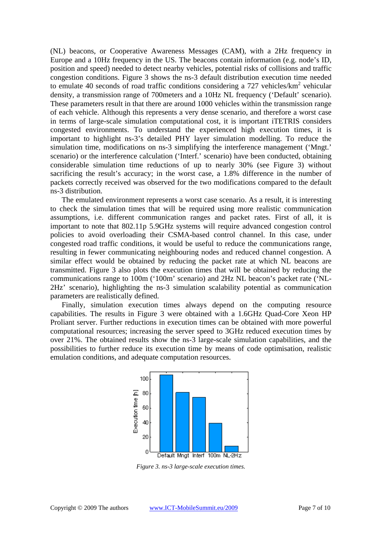(NL) beacons, or Cooperative Awareness Messages (CAM), with a 2Hz frequency in Europe and a 10Hz frequency in the US. The beacons contain information (e.g. node's ID, position and speed) needed to detect nearby vehicles, potential risks of collisions and traffic congestion conditions. [Figure 3](#page-6-0) shows the ns-3 default distribution execution time needed to emulate 40 seconds of road traffic conditions considering a  $727$  vehicles/ $km^2$  vehicular density, a transmission range of 700meters and a 10Hz NL frequency ('Default' scenario). These parameters result in that there are around 1000 vehicles within the transmission range of each vehicle. Although this represents a very dense scenario, and therefore a worst case in terms of large-scale simulation computational cost, it is important iTETRIS considers congested environments. To understand the experienced high execution times, it is important to highlight ns-3's detailed PHY layer simulation modelling. To reduce the simulation time, modifications on ns-3 simplifying the interference management ('Mngt.' scenario) or the interference calculation ('Interf.' scenario) have been conducted, obtaining considerable simulation time reductions of up to nearly 30% (see [Figure 3\)](#page-6-0) without sacrificing the result's accuracy; in the worst case, a 1.8% difference in the number of packets correctly received was observed for the two modifications compared to the default ns-3 distribution.

The emulated environment represents a worst case scenario. As a result, it is interesting to check the simulation times that will be required using more realistic communication assumptions, i.e. different communication ranges and packet rates. First of all, it is important to note that 802.11p 5.9GHz systems will require advanced congestion control policies to avoid overloading their CSMA-based control channel. In this case, under congested road traffic conditions, it would be useful to reduce the communications range, resulting in fewer communicating neighbouring nodes and reduced channel congestion. A similar effect would be obtained by reducing the packet rate at which NL beacons are transmitted. [Figure 3](#page-6-0) also plots the execution times that will be obtained by reducing the communications range to 100m ('100m' scenario) and 2Hz NL beacon's packet rate ('NL-2Hz' scenario), highlighting the ns-3 simulation scalability potential as communication parameters are realistically defined.

Finally, simulation execution times always depend on the computing resource capabilities. The results in Figure 3 were obtained with a 1.6GHz Quad-Core Xeon HP Proliant server. Further reductions in execution times can be obtained with more powerful computational resources; increasing the server speed to 3GHz reduced execution times by over 21%. The obtained results show the ns-3 large-scale simulation capabilities, and the possibilities to further reduce its execution time by means of code optimisation, realistic emulation conditions, and adequate computation resources.

<span id="page-6-0"></span>

*Figure 3. ns-3 large-scale execution times.*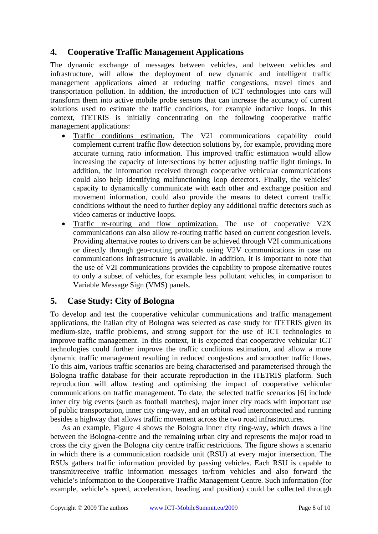# **4. Cooperative Traffic Management Applications**

The dynamic exchange of messages between vehicles, and between vehicles and infrastructure, will allow the deployment of new dynamic and intelligent traffic management applications aimed at reducing traffic congestions, travel times and transportation pollution. In addition, the introduction of ICT technologies into cars will transform them into active mobile probe sensors that can increase the accuracy of current solutions used to estimate the traffic conditions, for example inductive loops. In this context, iTETRIS is initially concentrating on the following cooperative traffic management applications:

- Traffic conditions estimation. The V2I communications capability could complement current traffic flow detection solutions by, for example, providing more accurate turning ratio information. This improved traffic estimation would allow increasing the capacity of intersections by better adjusting traffic light timings. In addition, the information received through cooperative vehicular communications could also help identifying malfunctioning loop detectors. Finally, the vehicles' capacity to dynamically communicate with each other and exchange position and movement information, could also provide the means to detect current traffic conditions without the need to further deploy any additional traffic detectors such as video cameras or inductive loops.
- Traffic re-routing and flow optimization. The use of cooperative V2X communications can also allow re-routing traffic based on current congestion levels. Providing alternative routes to drivers can be achieved through V2I communications or directly through geo-routing protocols using V2V communications in case no communications infrastructure is available. In addition, it is important to note that the use of V2I communications provides the capability to propose alternative routes to only a subset of vehicles, for example less pollutant vehicles, in comparison to Variable Message Sign (VMS) panels.

## **5. Case Study: City of Bologna**

To develop and test the cooperative vehicular communications and traffic management applications, the Italian city of Bologna was selected as case study for iTETRIS given its medium-size, traffic problems, and strong support for the use of ICT technologies to improve traffic management. In this context, it is expected that cooperative vehicular ICT technologies could further improve the traffic conditions estimation, and allow a more dynamic traffic management resulting in reduced congestions and smoother traffic flows. To this aim, various traffic scenarios are being characterised and parameterised through the Bologna traffic database for their accurate reproduction in the iTETRIS platform. Such reproduction will allow testing and optimising the impact of cooperative vehicular communications on traffic management. To date, the selected traffic scenarios [6] include inner city big events (such as football matches), major inner city roads with important use of public transportation, inner city ring-way, and an orbital road interconnected and running besides a highway that allows traffic movement across the two road infrastructures.

As an example, Figure 4 shows the Bologna inner city ring-way, which draws a line between the Bologna-centre and the remaining urban city and represents the major road to cross the city given the Bologna city centre traffic restrictions. The figure shows a scenario in which there is a communication roadside unit (RSU) at every major intersection. The RSUs gathers traffic information provided by passing vehicles. Each RSU is capable to transmit/receive traffic information messages to/from vehicles and also forward the vehicle's information to the Cooperative Traffic Management Centre. Such information (for example, vehicle's speed, acceleration, heading and position) could be collected through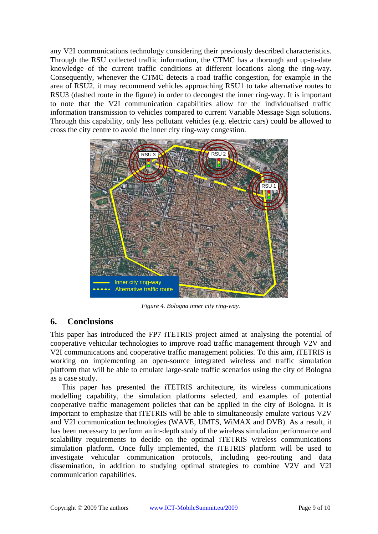any V2I communications technology considering their previously described characteristics. Through the RSU collected traffic information, the CTMC has a thorough and up-to-date knowledge of the current traffic conditions at different locations along the ring-way. Consequently, whenever the CTMC detects a road traffic congestion, for example in the area of RSU2, it may recommend vehicles approaching RSU1 to take alternative routes to RSU3 (dashed route in the figure) in order to decongest the inner ring-way. It is important to note that the V2I communication capabilities allow for the individualised traffic information transmission to vehicles compared to current Variable Message Sign solutions. Through this capability, only less pollutant vehicles (e.g. electric cars) could be allowed to cross the city centre to avoid the inner city ring-way congestion.



*Figure 4. Bologna inner city ring-way.* 

# **6. Conclusions**

This paper has introduced the FP7 iTETRIS project aimed at analysing the potential of cooperative vehicular technologies to improve road traffic management through V2V and V2I communications and cooperative traffic management policies. To this aim, iTETRIS is working on implementing an open-source integrated wireless and traffic simulation platform that will be able to emulate large-scale traffic scenarios using the city of Bologna as a case study.

This paper has presented the iTETRIS architecture, its wireless communications modelling capability, the simulation platforms selected, and examples of potential cooperative traffic management policies that can be applied in the city of Bologna. It is important to emphasize that iTETRIS will be able to simultaneously emulate various V2V and V2I communication technologies (WAVE, UMTS, WiMAX and DVB). As a result, it has been necessary to perform an in-depth study of the wireless simulation performance and scalability requirements to decide on the optimal iTETRIS wireless communications simulation platform. Once fully implemented, the iTETRIS platform will be used to investigate vehicular communication protocols, including geo-routing and data dissemination, in addition to studying optimal strategies to combine V2V and V2I communication capabilities.